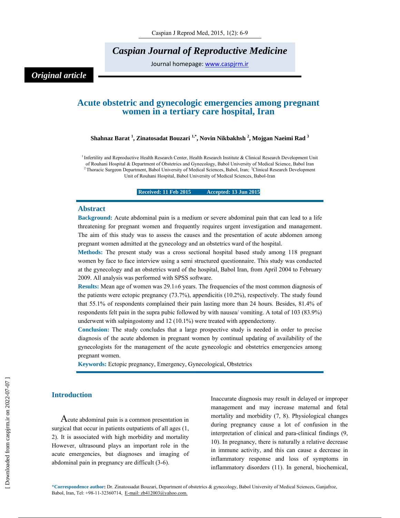# *Caspian Journal of Reproductive Medicine*

Journal homepage: www.caspjrm.ir

## *Original article*

## **Acute obstetric and gynecologic emergencies among pregnant women in a tertiary care hospital, Iran**

**Shahnaz Barat 1 , Zinatosadat Bouzari 1,\*, Novin Nikbakhsh 2 , Mojgan Naeimi Rad 3**

<sup>1</sup> Infertility and Reproductive Health Research Center, Health Research Institute & Clinical Research Development Unit of Rouhani Hospital & Department of Obstetrics and Gynecology, Babol University of Medical Science, Babol Iran <sup>2</sup> Thoracic Surgeon Department, Babol University of Medical Sciences, Babol, Iran; <sup>3</sup>Clinical Research Development Unit of Rouhani Hospital, Babol University of Medical Sciences, Babol-Iran

**Received: 11 Feb 2015** Accepted: 13 Jun 2015

#### **Abstract**

**Background:** Acute abdominal pain is a medium or severe abdominal pain that can lead to a life threatening for pregnant women and frequently requires urgent investigation and management. The aim of this study was to assess the causes and the presentation of acute abdomen among pregnant women admitted at the gynecology and an obstetrics ward of the hospital.

**Methods:** The present study was a cross sectional hospital based study among 118 pregnant women by face to face interview using a semi structured questionnaire. This study was conducted at the gynecology and an obstetrics ward of the hospital, Babol Iran, from April 2004 to February 2009. All analysis was performed with SPSS software.

**Results:** Mean age of women was 29.1±6 years. The frequencies of the most common diagnosis of the patients were ectopic pregnancy (73.7%), appendicitis (10.2%), respectively. The study found that 55.1% of respondents complained their pain lasting more than 24 hours. Besides, 81.4% of respondents felt pain in the supra pubic followed by with nausea/ vomiting. A total of 103 (83.9%) underwent with salpingostomy and 12 (10.1%) were treated with appendectomy.

**Conclusion:** The study concludes that a large prospective study is needed in order to precise diagnosis of the acute abdomen in pregnant women by continual updating of availability of the gynecologists for the management of the acute gynecologic and obstetrics emergencies among pregnant women.

**Keywords:** Ectopic pregnancy, Emergency, Gynecological, Obstetrics

### **Introduction**

Acute abdominal pain is a common presentation in surgical that occur in patients outpatients of all ages (1, 2). It is associated with high morbidity and mortality However, ultrasound plays an important role in the acute emergencies, but diagnoses and imaging of abdominal pain in pregnancy are difficult (3-6).

Inaccurate diagnosis may result in delayed or improper management and may increase maternal and fetal mortality and morbidity (7, 8). Physiological changes during pregnancy cause a lot of confusion in the interpretation of clinical and para-clinical findings (9, 10). In pregnancy, there is naturally a relative decrease in immune activity, and this can cause a decrease in inflammatory response and loss of symptoms in inflammatory disorders (11). In general, biochemical,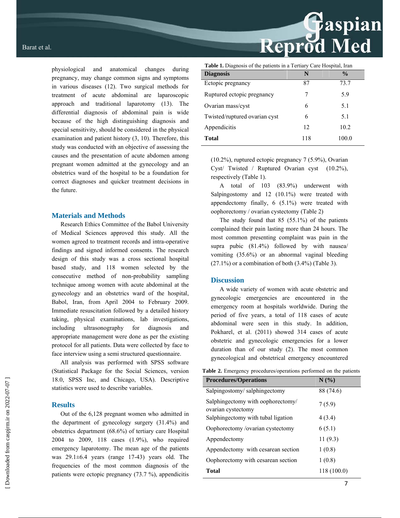physiological and anatomical changes during pregnancy, may change common signs and symptoms in various diseases (12). Two surgical methods for treatment of acute abdominal are laparoscopic approach and traditional laparotomy (13). The differential diagnosis of abdominal pain is wide because of the high distinguishing diagnosis and special sensitivity, should be considered in the physical examination and patient history (3, 10). Therefore, this study was conducted with an objective of assessing the causes and the presentation of acute abdomen among pregnant women admitted at the gynecology and an obstetrics ward of the hospital to be a foundation for correct diagnoses and quicker treatment decisions in the future.

#### **Materials and Methods**

Research Ethics Committee of the Babol University of Medical Sciences approved this study. All the women agreed to treatment records and intra-operative findings and signed informed consents. The research design of this study was a cross sectional hospital based study, and 118 women selected by the consecutive method of non-probability sampling technique among women with acute abdominal at the gynecology and an obstetrics ward of the hospital, Babol, Iran, from April 2004 to February 2009. Immediate resuscitation followed by a detailed history taking, physical examinations, lab investigations, including ultrasonography for diagnosis and appropriate management were done as per the existing protocol for all patients. Data were collected by face to face interview using a semi structured questionnaire.

All analysis was performed with SPSS software (Statistical Package for the Social Sciences, version 18.0, SPSS Inc, and Chicago, USA). Descriptive statistics were used to describe variables.

#### **Results**

Out of the 6,128 pregnant women who admitted in the department of gynecology surgery (31.4%) and obstetrics department (68.6%) of tertiary care Hospital 2004 to 2009, 118 cases (1.9%), who required emergency laparotomy. The mean age of the patients was 29.1±6.4 years (range 17-43) years old. The frequencies of the most common diagnosis of the patients were ectopic pregnancy (73.7 %), appendicitis

| <b>Table 1.</b> Diagnosis of the patients in a Tertiary Care Hospital, Iran |     |               |  |  |  |  |
|-----------------------------------------------------------------------------|-----|---------------|--|--|--|--|
| <b>Diagnosis</b>                                                            | N   | $\frac{0}{0}$ |  |  |  |  |
| Ectopic pregnancy                                                           | 87  | 73.7          |  |  |  |  |
| Ruptured ectopic pregnancy                                                  | 7   | 5.9           |  |  |  |  |
| Ovarian mass/cyst                                                           | 6   | 5.1           |  |  |  |  |
| Twisted/ruptured ovarian cyst                                               | 6   | 5.1           |  |  |  |  |
| Appendicitis                                                                | 12  | 10.2          |  |  |  |  |
| <b>Total</b>                                                                | 118 | 100.0         |  |  |  |  |

(10.2%), ruptured ectopic pregnancy 7 (5.9%), Ovarian Cyst/ Twisted / Ruptured Ovarian cyst (10.2%), respectively (Table 1).

A total of 103 (83.9%) underwent with Salpingostomy and 12 (10.1%) were treated with appendectomy finally, 6 (5.1%) were treated with oophorectomy / ovarian cystectomy (Table 2)

The study found that 85 (55.1%) of the patients complained their pain lasting more than 24 hours. The most common presenting complaint was pain in the supra pubic (81.4%) followed by with nausea/ vomiting (35.6%) or an abnormal vaginal bleeding  $(27.1\%)$  or a combination of both  $(3.4\%)$  (Table 3).

## **Discussion**

A wide variety of women with acute obstetric and gynecologic emergencies are encountered in the emergency room at hospitals worldwide. During the period of five years, a total of 118 cases of acute abdominal were seen in this study. In addition, Pokharel, et al. (2011) showed 314 cases of acute obstetric and gynecologic emergencies for a lower duration than of our study (2). The most common gynecological and obstetrical emergency encountered

|  |  |  |  |  |  |  | <b>Table 2.</b> Emergency procedures/operations performed on the patients |
|--|--|--|--|--|--|--|---------------------------------------------------------------------------|
|--|--|--|--|--|--|--|---------------------------------------------------------------------------|

| <b>Procedures/Operations</b>                            | N(%)        |
|---------------------------------------------------------|-------------|
| Salpingostomy/salphingectomy                            | 88 (74.6)   |
| Salphingectomy with oophorectomy/<br>ovarian cystectomy | 7(5.9)      |
| Salphingectomy with tubal ligation                      | 4(3.4)      |
| Oophorectomy /ovarian cystectomy                        | 6(5.1)      |
| Appendectomy                                            | 11(9.3)     |
| Appendectomy with cesarean section                      | 1(0.8)      |
| Oophorectomy with cesarean section                      | 1(0.8)      |
| <b>Total</b>                                            | 118 (100.0) |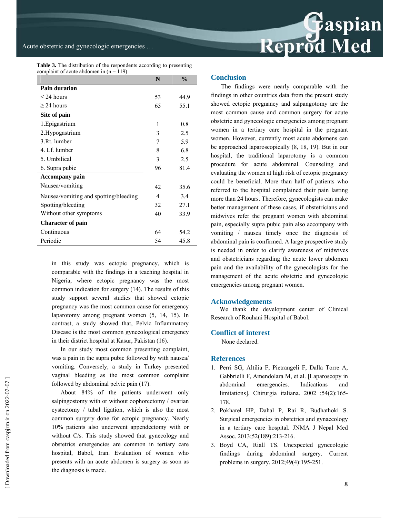

|  | <b>Table 3.</b> The distribution of the respondents according to presenting |  |  |  |  |
|--|-----------------------------------------------------------------------------|--|--|--|--|
|  | complaint of acute abdomen in $(n = 119)$                                   |  |  |  |  |

|                                       | N                        | $\frac{0}{0}$ |
|---------------------------------------|--------------------------|---------------|
| <b>Pain duration</b>                  |                          |               |
| $<$ 24 hours                          | 53                       | 44.9          |
| $\geq$ 24 hours                       | 65                       | 55.1          |
| Site of pain                          |                          |               |
| 1. Epigastrium                        | 1                        | 08            |
| 2. Hypogastrium                       | 3                        | 2.5           |
| 3.Rt. lumber                          | 7                        | 5.9           |
| 4. Lf. lumber                         | 8                        | 6.8           |
| 5. Umbilical                          | 3                        | 2.5           |
| 6. Supra pubic                        | 96                       | 81.4          |
| <b>Accompany pain</b>                 |                          |               |
| Nausea/vomiting                       | 42                       | 35.6          |
| Nausea/vomiting and spotting/bleeding | $\overline{\mathcal{A}}$ | 34            |
| Spotting/bleeding                     | 32                       | 27.1          |
| Without other symptoms                | 40                       | 33.9          |
| <b>Character of pain</b>              |                          |               |
| Continuous                            | 64                       | 54.2          |
| Periodic                              | 54                       | 45.8          |

in this study was ectopic pregnancy, which is comparable with the findings in a teaching hospital in Nigeria, where ectopic pregnancy was the most common indication for surgery (14). The results of this study support several studies that showed ectopic pregnancy was the most common cause for emergency laparotomy among pregnant women (5, 14, 15). In contrast, a study showed that, Pelvic Inflammatory Disease is the most common gynecological emergency in their district hospital at Kasur, Pakistan (16).

In our study most common presenting complaint, was a pain in the supra pubic followed by with nausea/ vomiting. Conversely, a study in Turkey presented vaginal bleeding as the most common complaint followed by abdominal pelvic pain (17).

About 84% of the patients underwent only salpingostomy with or without oophorectomy / ovarian cystectomy / tubal ligation, which is also the most common surgery done for ectopic pregnancy. Nearly 10% patients also underwent appendectomy with or without C/s. This study showed that gynecology and obstetrics emergencies are common in tertiary care hospital, Babol, Iran. Evaluation of women who presents with an acute abdomen is surgery as soon as the diagnosis is made.

#### **Conclusion**

 The findings were nearly comparable with the findings in other countries data from the present study showed ectopic pregnancy and salpangotomy are the most common cause and common surgery for acute obstetric and gynecologic emergencies among pregnant women in a tertiary care hospital in the pregnant women. However, currently most acute abdomens can be approached laparoscopically (8, 18, 19). But in our hospital, the traditional laparotomy is a common procedure for acute abdominal. Counseling and evaluating the women at high risk of ectopic pregnancy could be beneficial. More than half of patients who referred to the hospital complained their pain lasting more than 24 hours. Therefore, gynecologists can make better management of these cases, if obstetricians and midwives refer the pregnant women with abdominal pain, especially supra pubic pain also accompany with vomiting / nausea timely once the diagnosis of abdominal pain is confirmed. A large prospective study is needed in order to clarify awareness of midwives and obstetricians regarding the acute lower abdomen pain and the availability of the gynecologists for the management of the acute obstetric and gynecologic emergencies among pregnant women.

#### **Acknowledgements**

We thank the development center of Clinical Research of Rouhani Hospital of Babol.

### **Conflict of interest**

None declared.

#### **References**

- 1. Perri SG, Altilia F, Pietrangeli F, Dalla Torre A, Gabbrielli F, Amendolara M, et al. [Laparoscopy in abdominal emergencies. Indications and limitations]. Chirurgia italiana. 2002 ;54(2):165-178.
- 2. Pokharel HP, Dahal P, Rai R, Budhathoki S. Surgical emergencies in obstetrics and gynaecology in a tertiary care hospital. JNMA J Nepal Med Assoc. 2013;52(189):213-216.
- 3. Boyd CA, Riall TS. Unexpected gynecologic findings during abdominal surgery. Current problems in surgery. 2012;49(4):195-251.